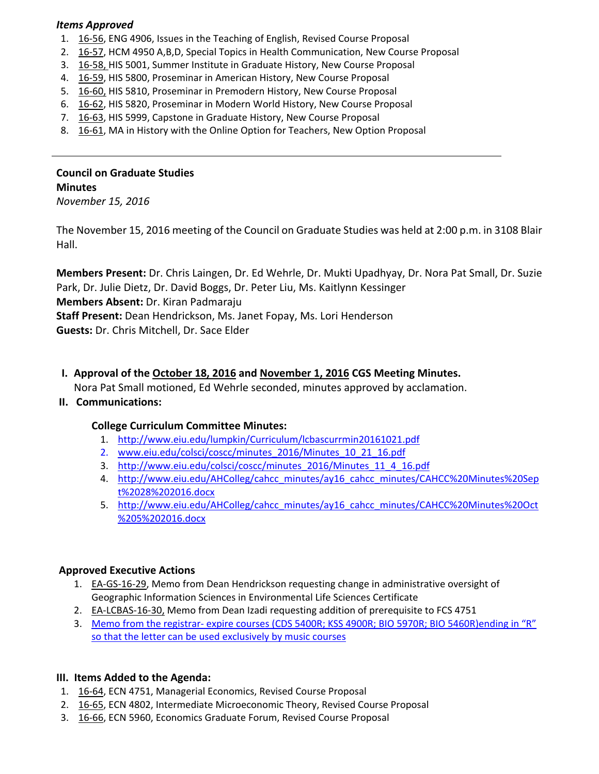#### *Items Approved*

- 1. 16‐[56,](http://castle.eiu.edu/eiucgs/currentagendaitems/agenda16-56.pdf) ENG 4906, Issues in the Teaching of English, Revised Course Proposal
- 2. 16‐[57,](http://castle.eiu.edu/eiucgs/currentagendaitems/agenda16-57.pdf) HCM 4950 A,B,D, Special Topics in Health Communication, New Course Proposal
- 3. 16‐[58,](http://castle.eiu.edu/eiucgs/currentagendaitems/agenda16-58.pdf) HIS 5001, Summer Institute in Graduate History, New Course Proposal
- 4. 16‐[59,](http://castle.eiu.edu/eiucgs/currentagendaitems/agenda16-59.pdf) HIS 5800, Proseminar in American History, New Course Proposal
- 5. 16-[60,](http://castle.eiu.edu/eiucgs/currentagendaitems/agenda16-60.pdf) HIS 5810, Proseminar in Premodern History, New Course Proposal
- 6. 16‐[62,](http://castle.eiu.edu/eiucgs/currentagendaitems/agenda16-62.pdf) HIS 5820, Proseminar in Modern World History, New Course Proposal
- 7. 16-[63,](http://castle.eiu.edu/eiucgs/currentagendaitems/agenda16-63.pdf) HIS 5999, Capstone in Graduate History, New Course Proposal
- 8. 16-[61,](http://castle.eiu.edu/eiucgs/currentagendaitems/agenda16-61.pdf) MA in History with the Online Option for Teachers, New Option Proposal

# **Council on Graduate Studies Minutes**

*November 15, 2016*

The November 15, 2016 meeting of the Council on Graduate Studies was held at 2:00 p.m. in 3108 Blair Hall.

**Members Present:** Dr. Chris Laingen, Dr. Ed Wehrle, Dr. Mukti Upadhyay, Dr. Nora Pat Small, Dr. Suzie Park, Dr. Julie Dietz, Dr. David Boggs, Dr. Peter Liu, Ms. Kaitlynn Kessinger

**Members Absent:** Dr. Kiran Padmaraju

**Staff Present:** Dean Hendrickson, Ms. Janet Fopay, Ms. Lori Henderson

**Guests:** Dr. Chris Mitchell, Dr. Sace Elder

 **I. Approval of the [October](http://castle.eiu.edu/eiucgs/currentminutes/Minutes10-18-16.pdf) 18, 2016 and [November](http://castle.eiu.edu/eiucgs/currentminutes/Minutes11-01-16.pdf) 1, 2016 CGS Meeting Minutes.**

Nora Pat Small motioned, Ed Wehrle seconded, minutes approved by acclamation.

**II. Communications:**

# **College Curriculum Committee Minutes:**

- 1. <http://www.eiu.edu/lumpkin/Curriculum/lcbascurrmin20161021.pdf>
- 2. [www.eiu.edu/colsci/coscc/minutes\\_2016/Minutes\\_10\\_21\\_16.pdf](http://www.eiu.edu/colsci/coscc/minutes_2016/Minutes_10_21_16.pdf)
- 3. [http://www.eiu.edu/colsci/coscc/minutes\\_2016/Minutes\\_11\\_4\\_16.pdf](http://www.eiu.edu/colsci/coscc/minutes_2016/COSCC_Minutes_11_4_16.pdf)
- 4. [http://www.eiu.edu/AHColleg/cahcc\\_minutes/ay16\\_cahcc\\_minutes/CAHCC%20Minutes%20Sep](http://www.eiu.edu/AHColleg/cahcc_minutes/ay16_cahcc_minutes/ay16_cahcc_minutes/CAHCC Minutes Sept 28 2016.docx) t%2028%202016.docx
- 5. [http://www.eiu.edu/AHColleg/cahcc\\_minutes/ay16\\_cahcc\\_minutes/CAHCC%20Minutes%20Oct](http://www.eiu.edu/AHColleg/cahcc_minutes/ay16_cahcc_minutes/ay16_cahcc_minutes/CAHCC Minutes Oct 5 2016.docx) %205%202016.docx

## **Approved Executive Actions**

- 1. **EA-GS-16-29**, Memo from Dean Hendrickson requesting change in administrative oversight of Geographic Information Sciences in Environmental Life Sciences Certificate
- 2. EA-[LCBAS](http://castle.eiu.edu/eiucgs/exec-actions/EA-GS-16-29.pdf)-16-30, Memo from Dean Izadi requesting addition of prerequisite to FCS 4751
- 3. Memo from the registrar- expire courses (CDS 5400R; KSS 4900R; BIO 5970R; BIO 5460R)ending in "R" so that the letter can be used [exclusively](http://castle.eiu.edu/eiucgs/R_Course_Memo_from_registrar.pdf) by music courses

## **III. Items Added to the Agenda:**

- 1. 16‐[64,](http://castle.eiu.edu/eiucgs/currentagendaitems/agenda16-64.pdf) ECN 4751, Managerial Economics, Revised Course Proposal
- 2. 16-[65,](http://castle.eiu.edu/eiucgs/currentagendaitems/agenda16-65.pdf) ECN 4802, Intermediate Microeconomic Theory, Revised Course Proposal
- 3. 16-[66,](http://castle.eiu.edu/eiucgs/currentagendaitems/agenda16-66.pdf) ECN 5960, Economics Graduate Forum, Revised Course Proposal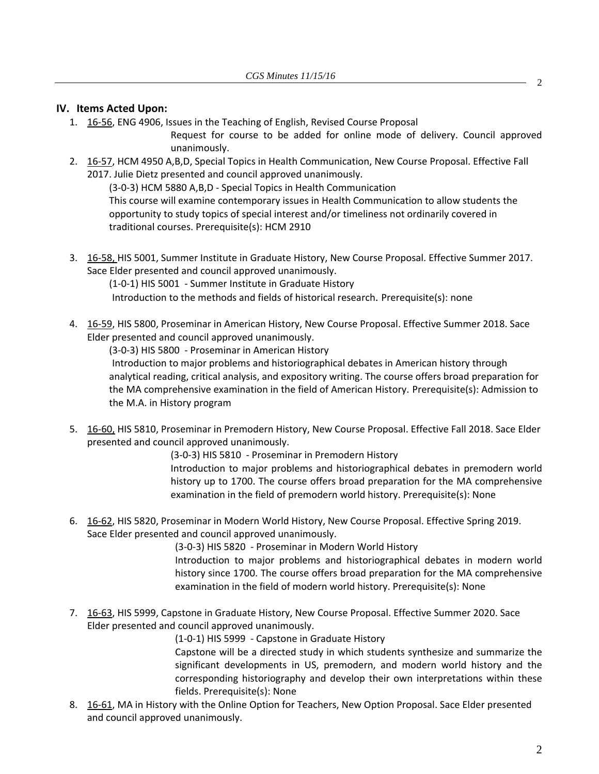#### **IV. Items Acted Upon:**

1. 16‐[56,](http://castle.eiu.edu/eiucgs/currentagendaitems/agenda16-56.pdf) ENG 4906, Issues in the Teaching of English, Revised Course Proposal

Request for course to be added for online mode of delivery. Council approved unanimously.

2. 16-[57,](http://castle.eiu.edu/eiucgs/currentagendaitems/agenda16-57.pdf) HCM 4950 A,B,D, Special Topics in Health Communication, New Course Proposal. Effective Fall 2017. Julie Dietz presented and council approved unanimously.

(3‐0‐3) HCM 5880 A,B,D ‐ Special Topics in Health Communication This course will examine contemporary issues in Health Communication to allow students the opportunity to study topics of special interest and/or timeliness not ordinarily covered in traditional courses. Prerequisite(s): HCM 2910

3. 16‐[58,](http://castle.eiu.edu/eiucgs/currentagendaitems/agenda16-58.pdf) HIS 5001, Summer Institute in Graduate History, New Course Proposal. Effective Summer 2017. Sace Elder presented and council approved unanimously.

(1‐0‐1) HIS 5001 ‐ Summer Institute in Graduate History

Introduction to the methods and fields of historical research. Prerequisite(s): none

4. 16-[59,](http://castle.eiu.edu/eiucgs/currentagendaitems/agenda16-59.pdf) HIS 5800, Proseminar in American History, New Course Proposal. Effective Summer 2018. Sace Elder presented and council approved unanimously.

(3‐0‐3) HIS 5800 ‐ Proseminar in American History

Introduction to major problems and historiographical debates in American history through analytical reading, critical analysis, and expository writing. The course offers broad preparation for the MA comprehensive examination in the field of American History. Prerequisite(s): Admission to the M.A. in History program

5. 16-[60,](http://castle.eiu.edu/eiucgs/currentagendaitems/agenda16-60.pdf) HIS 5810, Proseminar in Premodern History, New Course Proposal. Effective Fall 2018. Sace Elder presented and council approved unanimously.

(3‐0‐3) HIS 5810 ‐ Proseminar in Premodern History

Introduction to major problems and historiographical debates in premodern world history up to 1700. The course offers broad preparation for the MA comprehensive examination in the field of premodern world history. Prerequisite(s): None

6. 16‐[62,](http://castle.eiu.edu/eiucgs/currentagendaitems/agenda16-62.pdf) HIS 5820, Proseminar in Modern World History, New Course Proposal. Effective Spring 2019. Sace Elder presented and council approved unanimously.

> (3‐0‐3) HIS 5820 ‐ Proseminar in Modern World History Introduction to major problems and historiographical debates in modern world history since 1700. The course offers broad preparation for the MA comprehensive examination in the field of modern world history. Prerequisite(s): None

7. 16-[63,](http://castle.eiu.edu/eiucgs/currentagendaitems/agenda16-63.pdf) HIS 5999, Capstone in Graduate History, New Course Proposal. Effective Summer 2020. Sace Elder presented and council approved unanimously.

(1‐0‐1) HIS 5999 ‐ Capstone in Graduate History

Capstone will be a directed study in which students synthesize and summarize the significant developments in US, premodern, and modern world history and the corresponding historiography and develop their own interpretations within these fields. Prerequisite(s): None

8. 16-[61,](http://castle.eiu.edu/eiucgs/currentagendaitems/agenda16-61.pdf) MA in History with the Online Option for Teachers, New Option Proposal. Sace Elder presented and council approved unanimously.

2